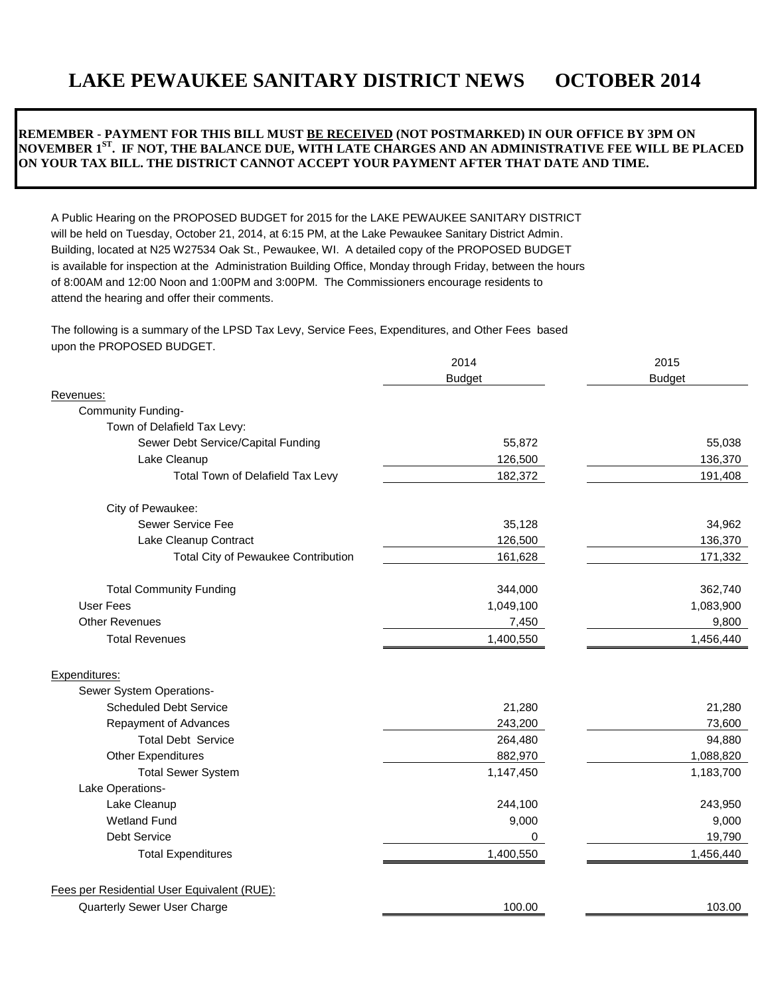# **LAKE PEWAUKEE SANITARY DISTRICT NEWS OCTOBER 2014**

# **REMEMBER - PAYMENT FOR THIS BILL MUST BE RECEIVED (NOT POSTMARKED) IN OUR OFFICE BY 3PM ON NOVEMBER 1ST. IF NOT, THE BALANCE DUE, WITH LATE CHARGES AND AN ADMINISTRATIVE FEE WILL BE PLACED ON YOUR TAX BILL. THE DISTRICT CANNOT ACCEPT YOUR PAYMENT AFTER THAT DATE AND TIME.**

A Public Hearing on the PROPOSED BUDGET for 2015 for the LAKE PEWAUKEE SANITARY DISTRICT will be held on Tuesday, October 21, 2014, at 6:15 PM, at the Lake Pewaukee Sanitary District Admin. Building, located at N25 W27534 Oak St., Pewaukee, WI. A detailed copy of the PROPOSED BUDGET is available for inspection at the Administration Building Office, Monday through Friday, between the hours of 8:00AM and 12:00 Noon and 1:00PM and 3:00PM. The Commissioners encourage residents to attend the hearing and offer their comments.

The following is a summary of the LPSD Tax Levy, Service Fees, Expenditures, and Other Fees based upon the PROPOSED BUDGET.

|                                             | 2014<br><b>Budget</b> | 2015<br><b>Budget</b> |
|---------------------------------------------|-----------------------|-----------------------|
|                                             |                       |                       |
| Revenues:                                   |                       |                       |
| <b>Community Funding-</b>                   |                       |                       |
| Town of Delafield Tax Levy:                 |                       |                       |
| Sewer Debt Service/Capital Funding          | 55,872                | 55,038                |
| Lake Cleanup                                | 126,500               | 136,370               |
| Total Town of Delafield Tax Levy            | 182,372               | 191,408               |
| City of Pewaukee:                           |                       |                       |
| Sewer Service Fee                           | 35,128                | 34,962                |
| Lake Cleanup Contract                       | 126,500               | 136,370               |
| Total City of Pewaukee Contribution         | 161,628               | 171,332               |
| <b>Total Community Funding</b>              | 344,000               | 362,740               |
| <b>User Fees</b>                            | 1,049,100             | 1,083,900             |
| <b>Other Revenues</b>                       | 7,450                 | 9,800                 |
| <b>Total Revenues</b>                       | 1,400,550             | 1,456,440             |
| Expenditures:                               |                       |                       |
| Sewer System Operations-                    |                       |                       |
| <b>Scheduled Debt Service</b>               | 21,280                | 21,280                |
| Repayment of Advances                       | 243,200               | 73,600                |
| <b>Total Debt Service</b>                   | 264,480               | 94,880                |
| <b>Other Expenditures</b>                   | 882,970               | 1,088,820             |
| <b>Total Sewer System</b>                   | 1,147,450             | 1,183,700             |
| Lake Operations-                            |                       |                       |
| Lake Cleanup                                | 244,100               | 243,950               |
| <b>Wetland Fund</b>                         | 9,000                 | 9,000                 |
| <b>Debt Service</b>                         | 0                     | 19,790                |
| <b>Total Expenditures</b>                   | 1,400,550             | 1,456,440             |
| Fees per Residential User Equivalent (RUE): |                       |                       |
| Quarterly Sewer User Charge                 | 100.00                | 103.00                |